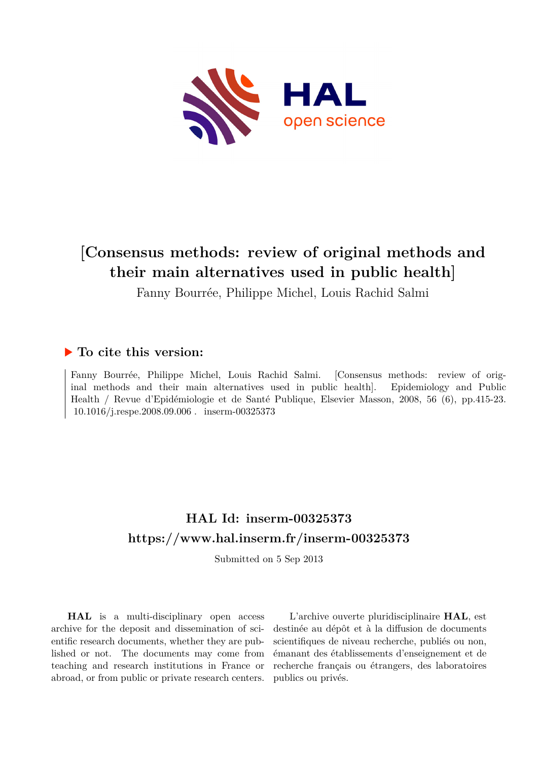

# **[Consensus methods: review of original methods and their main alternatives used in public health]**

Fanny Bourrée, Philippe Michel, Louis Rachid Salmi

### **To cite this version:**

Fanny Bourrée, Philippe Michel, Louis Rachid Salmi. [Consensus methods: review of original methods and their main alternatives used in public health]. Epidemiology and Public Health / Revue d'Epidémiologie et de Santé Publique, Elsevier Masson, 2008, 56 (6), pp.415-23.  $10.1016$ /j.respe.2008.09.006. inserm-00325373

## **HAL Id: inserm-00325373 <https://www.hal.inserm.fr/inserm-00325373>**

Submitted on 5 Sep 2013

**HAL** is a multi-disciplinary open access archive for the deposit and dissemination of scientific research documents, whether they are published or not. The documents may come from teaching and research institutions in France or abroad, or from public or private research centers.

L'archive ouverte pluridisciplinaire **HAL**, est destinée au dépôt et à la diffusion de documents scientifiques de niveau recherche, publiés ou non, émanant des établissements d'enseignement et de recherche français ou étrangers, des laboratoires publics ou privés.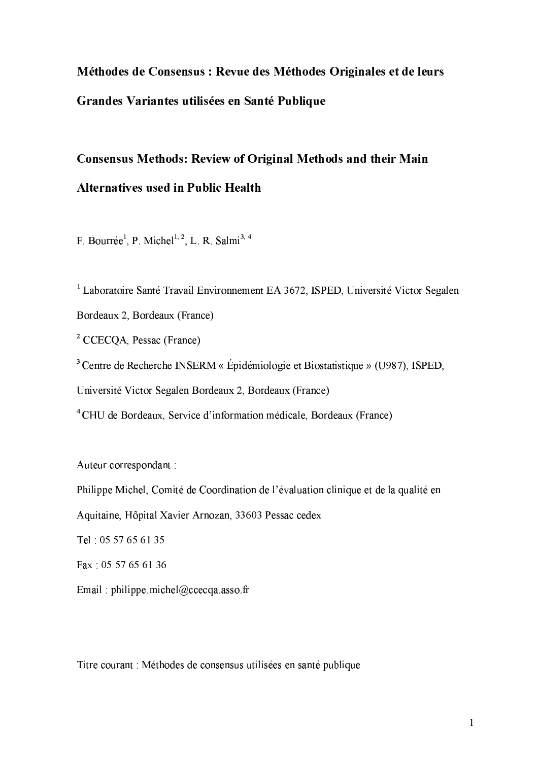# Méthodes de Consensus : Revue des Méthodes Originales et de leurs Grandes Variantes utilisées en Santé Publique

# **Consensus Methods: Review of Original Methods and their Main Alternatives used in Public Health**

F. Bourrée<sup>1</sup>, P. Michel<sup>1, 2</sup>, L. R. Salmi<sup>3, 4</sup>

<sup>1</sup> Laboratoire Santé Travail Environnement EA 3672, ISPED, Université Victor Segalen Bordeaux 2, Bordeaux (France)

<sup>2</sup> CCECQA, Pessac (France)

<sup>3</sup> Centre de Recherche INSERM « Épidémiologie et Biostatistique » (U987), ISPED,

Université Victor Segalen Bordeaux 2, Bordeaux (France)

<sup>4</sup> CHU de Bordeaux, Service d'information médicale, Bordeaux (France)

Auteur correspondant :

Philippe Michel, Comité de Coordination de l'évaluation clinique et de la qualité en

Aquitaine, Hôpital Xavier Arnozan, 33603 Pessac cedex

Tel: 05 57 65 61 35

Fax: 05 57 65 61 36

Email: philippe.michel@ccecqa.asso.fr

Titre courant : Méthodes de consensus utilisées en santé publique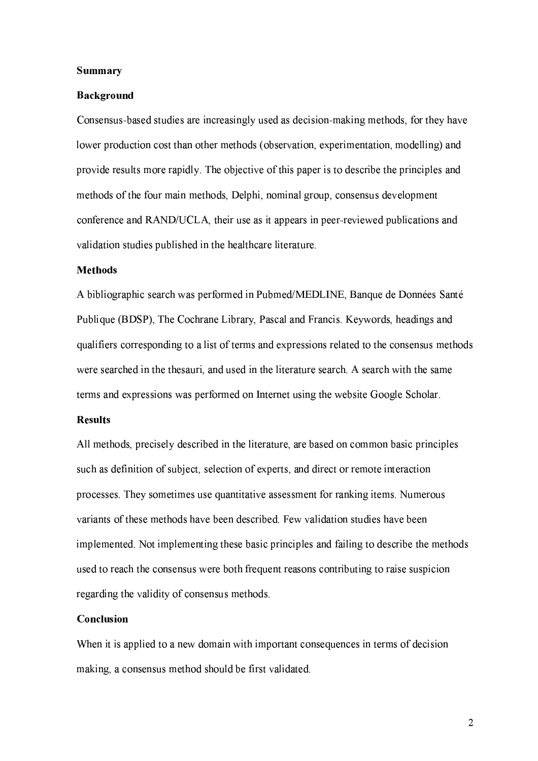#### **Summary**

#### **Background**

Consensus-based studies are increasingly used as decision-making methods, for they have lower production cost than other methods (observation, experimentation, modelling) and provide results more rapidly. The objective of this paper is to describe the principles and methods of the four main methods, Delphi, nominal group, consensus development conference and RAND/UCLA, their use as it appears in peer-reviewed publications and validation studies published in the healthcare literature.

#### **Methods**

A bibliographic search was performed in Pubmed/MEDLINE, Banque de Données Santé Publique (BDSP), The Cochrane Library, Pascal and Francis. Keywords, headings and qualifiers corresponding to a list of terms and expressions related to the consensus methods were searched in the the sauri, and used in the literature search. A search with the same terms and expressions was performed on Internet using the website Google Scholar.

#### **Results**

All methods, precisely described in the literature, are based on common basic principles such as definition of subject, selection of experts, and direct or remote interaction processes. They sometimes use quantitative assessment for ranking items. Numerous variants of these methods have been described. Few validation studies have been implemented. Not implementing these basic principles and failing to describe the methods used to reach the consensus were both frequent reasons contributing to raise suspicion regarding the validity of consensus methods.

#### Conclusion

When it is applied to a new domain with important consequences in terms of decision making, a consensus method should be first validated.

 $\overline{2}$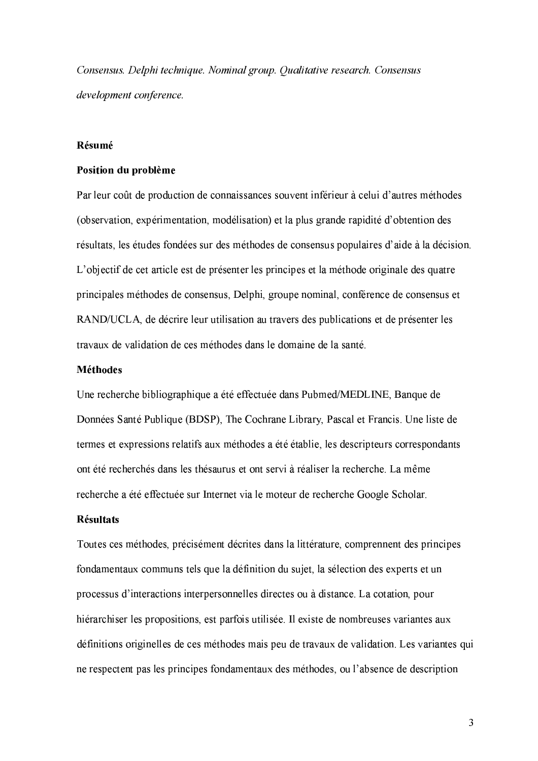Consensus. Delphi technique. Nominal group. Qualitative research. Consensus development conference.

#### Résumé

#### Position du problème

Par leur coût de production de connaissances souvent inférieur à celui d'autres méthodes (observation, expérimentation, modélisation) et la plus grande rapidité d'obtention des résultats, les études fondées sur des méthodes de consensus populaires d'aide à la décision. L'objectif de cet article est de présenter les principes et la méthode originale des quatre principales méthodes de consensus, Delphi, groupe nominal, conférence de consensus et RAND/UCLA, de décrire leur utilisation au travers des publications et de présenter les travaux de validation de ces méthodes dans le domaine de la santé.

#### **Méthodes**

Une recherche bibliographique a été effectuée dans Pubmed/MEDLINE, Banque de Données Santé Publique (BDSP), The Cochrane Library, Pascal et Francis. Une liste de termes et expressions relatifs aux méthodes a été établie, les descripteurs correspondants ont été recherchés dans les thésaurus et ont servi à réaliser la recherche. La même recherche a été effectuée sur Internet via le moteur de recherche Google Scholar.

#### **Résultats**

Toutes ces méthodes, précisément décrites dans la littérature, comprennent des principes fondamentaux communs tels que la définition du sujet, la sélection des experts et un processus d'interactions interpersonnelles directes ou à distance. La cotation, pour hiérarchiser les propositions, est parfois utilisée. Il existe de nombreuses variantes aux définitions originelles de ces méthodes mais peu de travaux de validation. Les variantes qui ne respectent pas les principes fondamentaux des méthodes, ou l'absence de description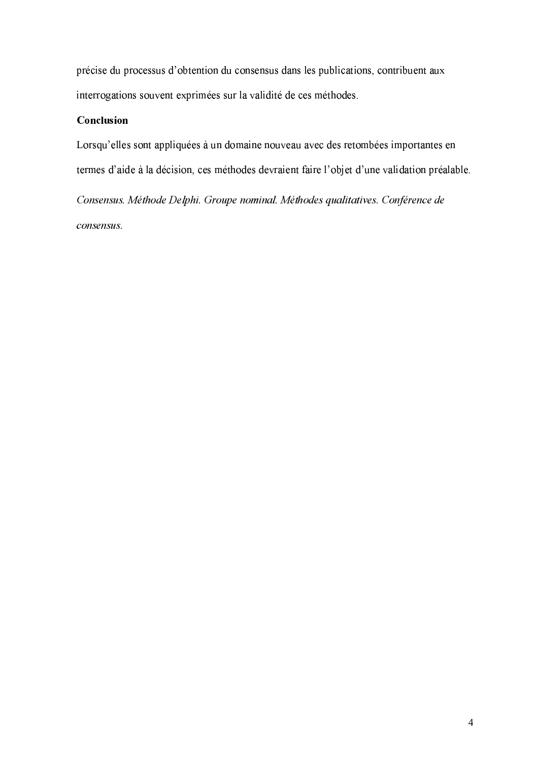précise du processus d'obtention du consensus dans les publications, contribuent aux interrogations souvent exprimées sur la validité de ces méthodes.

### Conclusion

Lorsqu'elles sont appliquées à un domaine nouveau avec des retombées importantes en termes d'aide à la décision, ces méthodes devraient faire l'objet d'une validation préalable.

- -.4- -1% '(1 !"#04 ( #0-#\*/2\*652% 14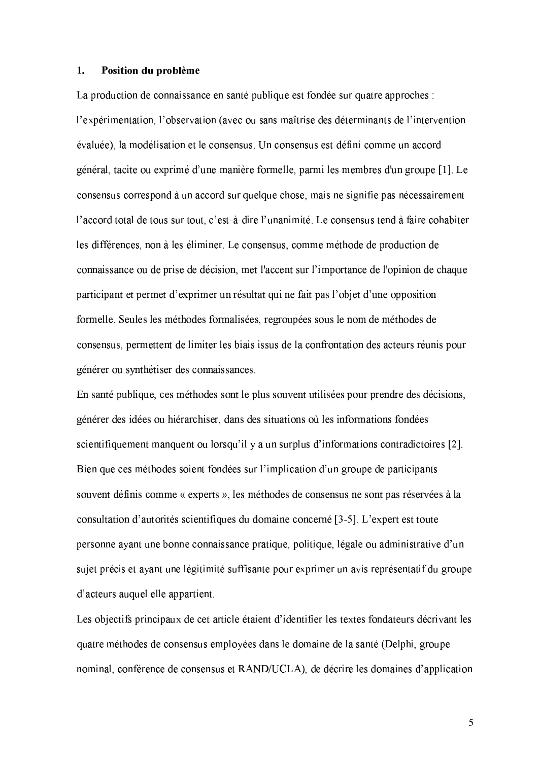#### 1. Position du problème

La production de connaissance en santé publique est fondée sur quatre approches : l'expérimentation, l'observation (avec ou sans maîtrise des déterminants de l'intervention évaluée), la modélisation et le consensus. Un consensus est défini comme un accord général, tacite ou exprimé d'une manière formelle, parmi les membres d'un groupe [1]. Le consensus correspond à un accord sur quelque chose, mais ne signifie pas nécessairement l'accord total de tous sur tout, c'est-à-dire l'unanimité. Le consensus tend à faire cohabiter les différences, non à les éliminer. Le consensus, comme méthode de production de connaissance ou de prise de décision, met l'accent sur l'importance de l'opinion de chaque participant et permet d'exprimer un résultat qui ne fait pas l'objet d'une opposition formelle. Seules les méthodes formalisées, regroupées sous le nom de méthodes de consensus, permettent de limiter les biais issus de la confrontation des acteurs réunis pour générer ou synthétiser des connaissances.

En santé publique, ces méthodes sont le plus souvent utilisées pour prendre des décisions, générer des idées ou hiérarchiser, dans des situations où les informations fondées scientifiquement manquent ou lorsqu'il y a un surplus d'informations contradictoires [2]. Bien que ces méthodes soient fondées sur l'implication d'un groupe de participants souvent définis comme « experts », les méthodes de consensus ne sont pas réservées à la consultation d'autorités scientifiques du domaine concerné [3-5]. L'expert est toute personne ayant une bonne connaissance pratique, politique, légale ou administrative d'un sujet précis et ayant une légitimité suffisante pour exprimer un avis représentatif du groupe d'acteurs auquel elle appartient.

Les objectifs principaux de cet article étaient d'identifier les textes fondateurs décrivant les quatre méthodes de consensus employées dans le domaine de la santé (Delphi, groupe nominal, conférence de consensus et RAND/UCLA), de décrire les domaines d'application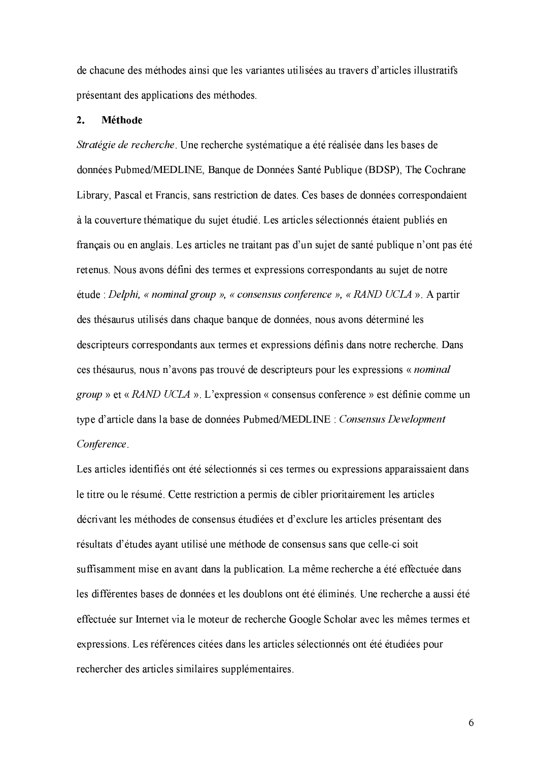de chacune des méthodes ainsi que les variantes utilisées au travers d'articles illustratifs présentant des applications des méthodes.

#### $\overline{2}$ . Méthode

Stratégie de recherche. Une recherche systématique a été réalisée dans les bases de données Pubmed/MEDLINE, Banque de Données Santé Publique (BDSP), The Cochrane Library, Pascal et Francis, sans restriction de dates. Ces bases de données correspondaient à la couverture thématique du sujet étudié. Les articles sélectionnés étaient publiés en français ou en anglais. Les articles ne traitant pas d'un sujet de santé publique n'ont pas été retenus. Nous avons défini des termes et expressions correspondants au sujet de notre étude : Delphi, « nominal group », « consensus conference », « RAND UCLA ». A partir des thésaurus utilisés dans chaque banque de données, nous avons déterminé les descripteurs correspondants aux termes et expressions définis dans notre recherche. Dans ces thésaurus, nous n'avons pas trouvé de descripteurs pour les expressions « nominal group » et « RAND UCLA ». L'expression « consensus conference » est définie comme un type d'article dans la base de données Pubmed/MEDLINE : Consensus Development Conference.

Les articles identifiés ont été sélectionnés si ces termes ou expressions apparaissaient dans le titre ou le résumé. Cette restriction a permis de cibler prioritairement les articles décrivant les méthodes de consensus étudiées et d'exclure les articles présentant des résultats d'études ayant utilisé une méthode de consensus sans que celle-ci soit suffisamment mise en avant dans la publication. La même recherche a été effectuée dans les différentes bases de données et les doublons ont été éliminés. Une recherche a aussi été effectuée sur Internet via le moteur de recherche Google Scholar avec les mêmes termes et expressions. Les références citées dans les articles sélectionnés ont été étudiées pour rechercher des articles similaires supplémentaires.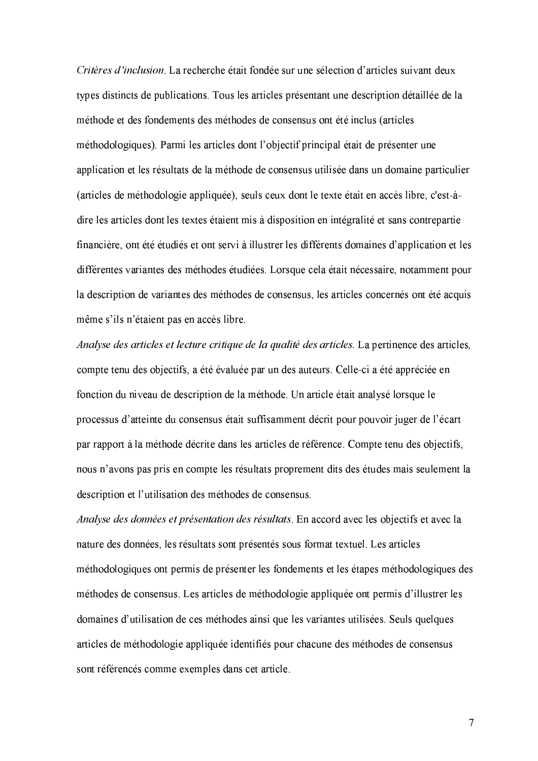Critères d'inclusion. La recherche était fondée sur une sélection d'articles suivant deux types distincts de publications. Tous les articles présentant une description détaillée de la méthode et des fondements des méthodes de consensus ont été inclus (articles méthodologiques). Parmi les articles dont l'objectif principal était de présenter une application et les résultats de la méthode de consensus utilisée dans un domaine particulier (articles de méthodologie appliquée), seuls ceux dont le texte était en accès libre, c'est-àdire les articles dont les textes étaient mis à disposition en intégralité et sans contrepartie financière, ont été étudiés et ont servi à illustrer les différents domaines d'application et les différentes variantes des méthodes étudiées. Lorsque cela était nécessaire, notamment pour la description de variantes des méthodes de consensus, les articles concernés ont été acquis même s'ils n'étaient pas en accès libre.

Analyse des articles et lecture critique de la qualité des articles. La pertinence des articles, compte tenu des objectifs, a été évaluée par un des auteurs. Celle-ci a été appréciée en fonction du niveau de description de la méthode. Un article était analysé lorsque le processus d'atteinte du consensus était suffisamment décrit pour pouvoir juger de l'écart par rapport à la méthode décrite dans les articles de référence. Compte tenu des objectifs, nous n'avons pas pris en compte les résultats proprement dits des études mais seulement la description et l'utilisation des méthodes de consensus.

Analyse des données et présentation des résultats. En accord avec les objectifs et avec la nature des données, les résultats sont présentés sous format textuel. Les articles méthodologiques ont permis de présenter les fondements et les étapes méthodologiques des méthodes de consensus. Les articles de méthodologie appliquée ont permis d'illustrer les domaines d'utilisation de ces méthodes ainsi que les variantes utilisées. Seuls quelques articles de méthodologie appliquée identifiés pour chacune des méthodes de consensus sont référencés comme exemples dans cet article.

 $\overline{7}$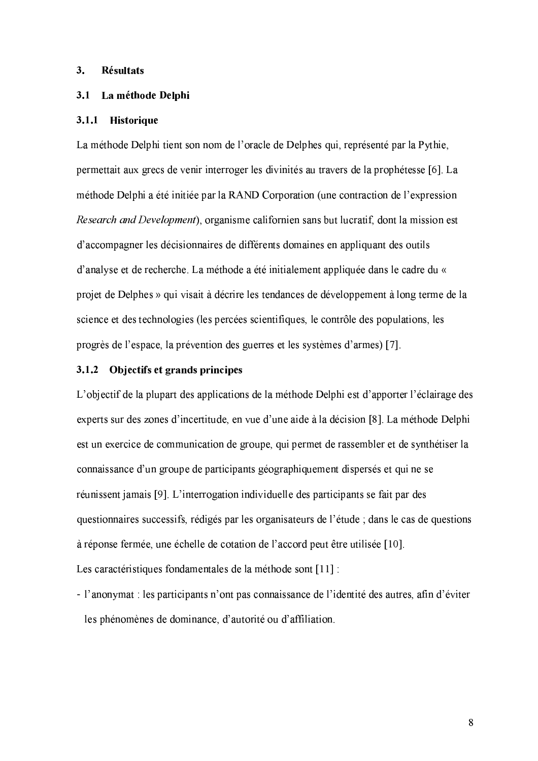#### 3. **Résultats**

#### 3.1 La méthode Delphi

#### 3.1.1 Historique

La méthode Delphi tient son nom de l'oracle de Delphes qui, représenté par la Pythie, permettait aux grecs de venir interroger les divinités au travers de la prophétesse [6]. La méthode Delphi a été initiée par la RAND Corporation (une contraction de l'expression Research and Development), organisme californien sans but lucratif, dont la mission est d'accompagner les décisionnaires de différents domaines en appliquant des outils d'analyse et de recherche. La méthode a été initialement appliquée dans le cadre du « projet de Delphes » qui visait à décrire les tendances de développement à long terme de la science et des technologies (les percées scientifiques, le contrôle des populations, les progrès de l'espace, la prévention des guerres et les systèmes d'armes) [7].

#### 3.1.2 Objectifs et grands principes

L'objectif de la plupart des applications de la méthode Delphi est d'apporter l'éclairage des experts sur des zones d'incertitude, en vue d'une aide à la décision [8]. La méthode Delphi est un exercice de communication de groupe, qui permet de rassembler et de synthétiser la connaissance d'un groupe de participants géographiquement dispersés et qui ne se réunissent jamais [9]. L'interrogation individuelle des participants se fait par des questionnaires successifs, rédigés par les organisateurs de l'étude ; dans le cas de questions à réponse fermée, une échelle de cotation de l'accord peut être utilisée [10].

Les caractéristiques fondamentales de la méthode sont [11] :

- l'anonymat : les participants n'ont pas connaissance de l'identité des autres, afin d'éviter les phénomènes de dominance, d'autorité ou d'affiliation.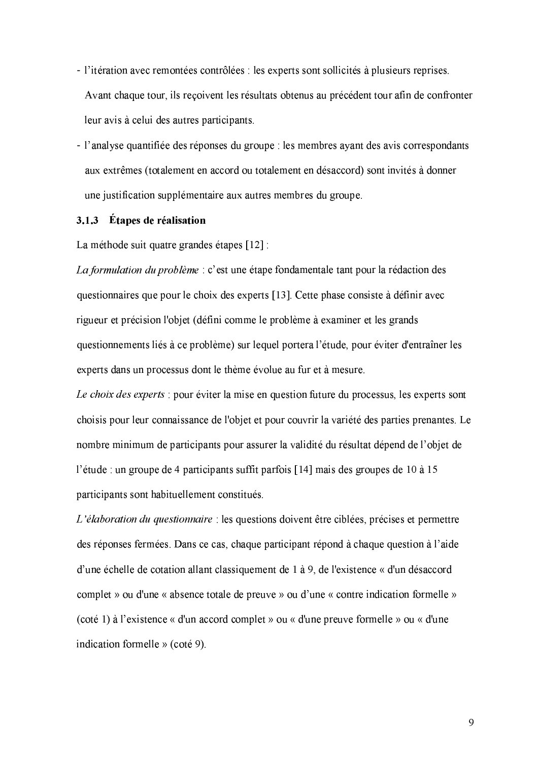- l'itération avec remontées contrôlées : les experts sont sollicités à plusieurs reprises. Avant chaque tour, ils recoivent les résultats obtenus au précédent tour afin de confronter leur avis à celui des autres participants.
- l'analyse quantifiée des réponses du groupe : les membres ayant des avis correspondants aux extrêmes (totalement en accord ou totalement en désaccord) sont invités à donner une justification supplémentaire aux autres membres du groupe.

#### 3.1.3 Étapes de réalisation

La méthode suit quatre grandes étapes [12]:

La formulation du problème : c'est une étape fondamentale tant pour la rédaction des questionnaires que pour le choix des experts [13]. Cette phase consiste à définir avec rigueur et précision l'objet (défini comme le problème à examiner et les grands questionnements liés à ce problème) sur lequel portera l'étude, pour éviter d'entraîner les experts dans un processus dont le thème évolue au fur et à mesure.

Le choix des experts : pour éviter la mise en question future du processus, les experts sont choisis pour leur connaissance de l'objet et pour couvrir la variété des parties prenantes. Le nombre minimum de participants pour assurer la validité du résultat dépend de l'objet de l'étude : un groupe de 4 participants suffit parfois [14] mais des groupes de 10 à 15 participants sont habituellement constitués.

L'élaboration du questionnaire : les questions doivent être ciblées, précises et permettre des réponses fermées. Dans ce cas, chaque participant répond à chaque question à l'aide d'une échelle de cotation allant classiquement de 1 à 9, de l'existence « d'un désaccord complet » ou d'une « absence totale de preuve » ou d'une « contre indication formelle » (coté 1) à l'existence « d'un accord complet » ou « d'une preuve formelle » ou « d'une indication formelle  $\gg$  (coté 9).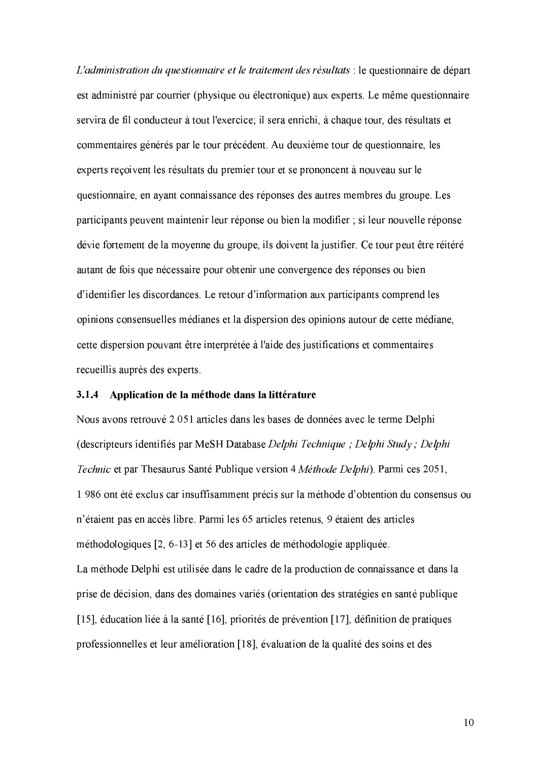L'administration du questionnaire et le traitement des résultats : le questionnaire de départ est administré par courrier (physique ou électronique) aux experts. Le même questionnaire servira de fil conducteur à tout l'exercice; il sera enrichi, à chaque tour, des résultats et commentaires générés par le tour précédent. Au deuxième tour de questionnaire, les experts reçoivent les résultats du premier tour et se prononcent à nouveau sur le questionnaire, en avant connaissance des réponses des autres membres du groupe. Les participants peuvent maintenir leur réponse ou bien la modifier ; si leur nouvelle réponse dévie fortement de la moyenne du groupe, ils doivent la justifier. Ce tour peut être réitéré autant de fois que nécessaire pour obtenir une convergence des réponses ou bien d'identifier les discordances. Le retour d'information aux participants comprend les opinions consensuelles médianes et la dispersion des opinions autour de cette médiane, cette dispersion pouvant être interprétée à l'aide des justifications et commentaires recueillis auprès des experts.

### 3.1.4 Application de la méthode dans la littérature

Nous avons retrouvé 2 051 articles dans les bases de données avec le terme Delphi (descripteurs identifiés par MeSH Database Delphi Technique; Delphi Study; Delphi Technic et par Thesaurus Santé Publique version 4 Méthode Delphi). Parmi ces 2051, 1986 ont été exclus car insuffisamment précis sur la méthode d'obtention du consensus ou n'étaient pas en accès libre. Parmi les 65 articles retenus, 9 étaient des articles méthodologiques [2, 6-13] et 56 des articles de méthodologie appliquée. La méthode Delphi est utilisée dans le cadre de la production de connaissance et dans la prise de décision, dans des domaines variés (orientation des stratégies en santé publique [15], éducation liée à la santé [16], priorités de prévention [17], définition de pratiques professionnelles et leur amélioration [18], évaluation de la qualité des soins et des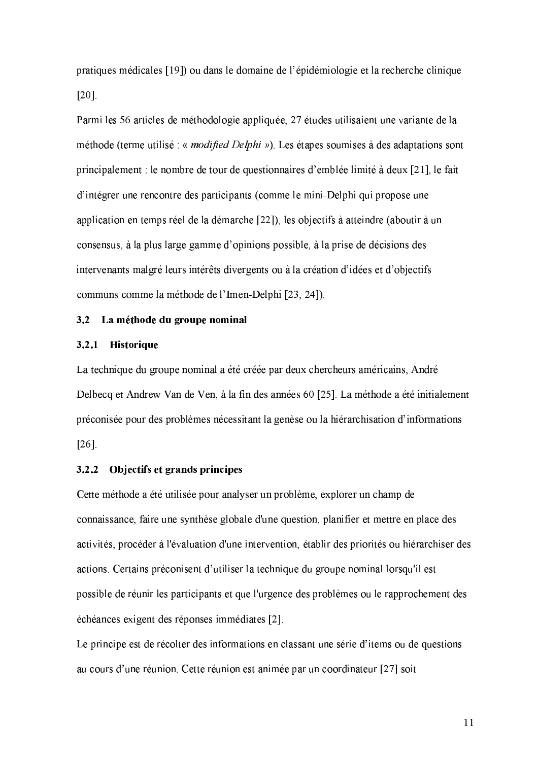pratiques médicales [19]) ou dans le domaine de l'épidémiologie et la recherche clinique  $[20]$ .

Parmi les 56 articles de méthodologie appliquée, 27 études utilisaient une variante de la méthode (terme utilisé : « *modified Delphi* »). Les étapes soumises à des adaptations sont principalement : le nombre de tour de questionnaires d'emblée limité à deux [21], le fait d'intégrer une rencontre des participants (comme le mini-Delphi qui propose une application en temps réel de la démarche [22]), les objectifs à atteindre (aboutir à un consensus, à la plus large gamme d'opinions possible, à la prise de décisions des intervenants malgré leurs intérêts divergents ou à la création d'idées et d'objectifs communs comme la méthode de l'Imen-Delphi [23, 24]).

#### 3.2 La méthode du groupe nominal

#### 3.2.1 Historique

La technique du groupe nominal a été créée par deux chercheurs américains, André Delbecq et Andrew Van de Ven, à la fin des années 60 [25]. La méthode a été initialement préconisée pour des problèmes nécessitant la genèse ou la hiérarchisation d'informations  $[26]$ 

#### 3.2.2 Objectifs et grands principes

Cette méthode a été utilisée pour analyser un problème, explorer un champ de connaissance, faire une synthèse globale d'une question, planifier et mettre en place des activités, procéder à l'évaluation d'une intervention, établir des priorités ou hiérarchiser des actions. Certains préconisent d'utiliser la technique du groupe nominal lorsqu'il est possible de réunir les participants et que l'urgence des problèmes ou le rapprochement des échéances exigent des réponses immédiates [2].

Le principe est de récolter des informations en classant une série d'items ou de questions au cours d'une réunion. Cette réunion est animée par un coordinateur [27] soit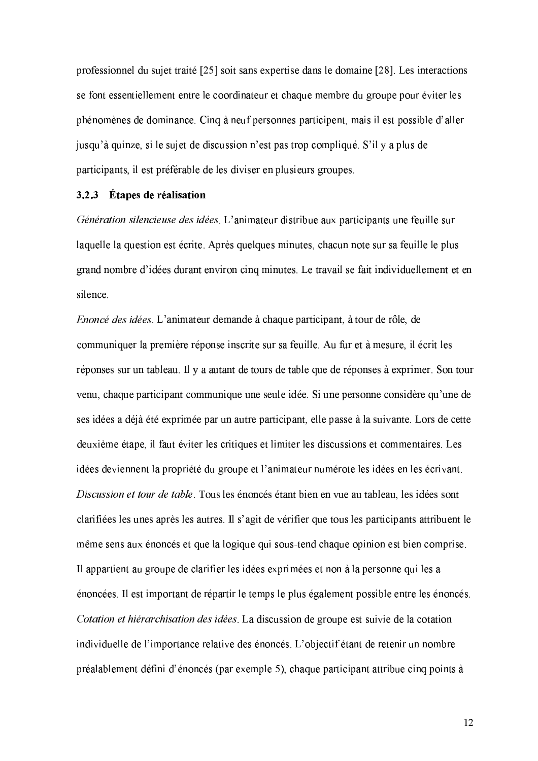professionnel du sujet traité [25] soit sans expertise dans le domaine [28]. Les interactions se font essentiellement entre le coordinateur et chaque membre du groupe pour éviter les phénomènes de dominance. Cinq à neuf personnes participent, mais il est possible d'aller jusqu'à quinze, si le sujet de discussion n'est pas trop compliqué. S'il y a plus de participants, il est préférable de les diviser en plusieurs groupes.

#### 3.2.3 Étapes de réalisation

Génération silencieuse des idées. L'animateur distribue aux participants une feuille sur laquelle la question est écrite. Après quelques minutes, chacun note sur sa feuille le plus grand nombre d'idées durant environ cinq minutes. Le travail se fait individuellement et en silence.

Enoncé des idées. L'animateur demande à chaque participant, à tour de rôle, de communiquer la première réponse inscrite sur sa feuille. Au fur et à mesure, il écrit les réponses sur un tableau. Il y a autant de tours de table que de réponses à exprimer. Son tour venu, chaque participant communique une seule idée. Si une personne considère qu'une de ses idées a déjà été exprimée par un autre participant, elle passe à la suivante. Lors de cette deuxième étape, il faut éviter les critiques et limiter les discussions et commentaires. Les idées deviennent la propriété du groupe et l'animateur numérote les idées en les écrivant. Discussion et tour de table. Tous les énoncés étant bien en vue au tableau, les idées sont clarifiées les unes après les autres. Il s'agit de vérifier que tous les participants attribuent le même sens aux énoncés et que la logique qui sous-tend chaque opinion est bien comprise. Il appartient au groupe de clarifier les idées exprimées et non à la personne qui les a énoncées. Il est important de répartir le temps le plus également possible entre les énoncés. Cotation et hiérarchisation des idées. La discussion de groupe est suivie de la cotation individuelle de l'importance relative des énoncés. L'objectif étant de retenir un nombre préalablement défini d'énoncés (par exemple 5), chaque participant attribue cinq points à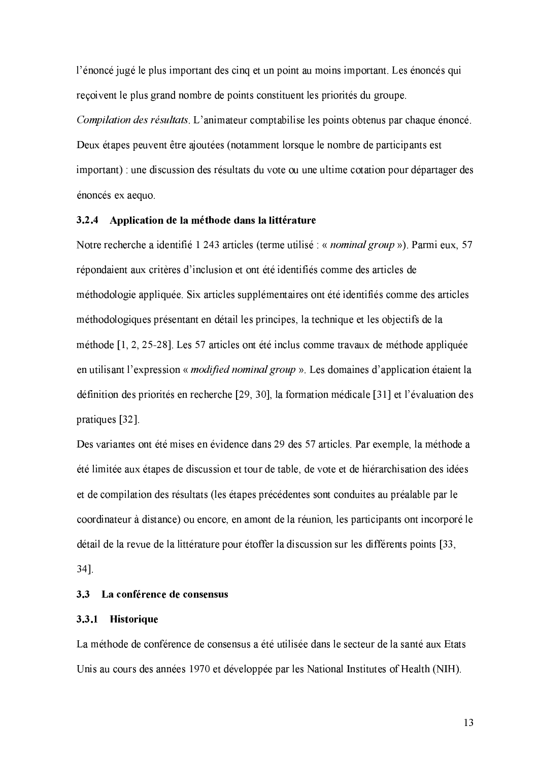l'énoncé jugé le plus important des cinq et un point au moins important. Les énoncés qui reçoivent le plus grand nombre de points constituent les priorités du groupe. Compilation des résultats. L'animateur comptabilise les points obtenus par chaque énoncé. Deux étapes peuvent être ajoutées (notamment lorsque le nombre de participants est important) une discussion des résultats du vote ou une ultime cotation pour départager des énoncés ex aequo.

#### 3.2.4 Application de la méthode dans la littérature

Notre recherche a identifié 1 243 articles (terme utilisé : « *nominal group* »). Parmi eux, 57 répondaient aux critères d'inclusion et ont été identifiés comme des articles de méthodologie appliquée. Six articles supplémentaires ont été identifiés comme des articles méthodologiques présentant en détail les principes, la technique et les objectifs de la méthode [1, 2, 25-28]. Les 57 articles ont été inclus comme travaux de méthode appliquée en utilisant l'expression « modified nominal group ». Les domaines d'application étaient la définition des priorités en recherche [29, 30], la formation médicale [31] et l'évaluation des pratiques [32].

Des variantes ont été mises en évidence dans 29 des 57 articles. Par exemple, la méthode a été limitée aux étapes de discussion et tour de table, de vote et de hiérarchisation des idées et de compilation des résultats (les étapes précédentes sont conduites au préalable par le coordinateur à distance) ou encore, en amont de la réunion, les participants ont incorporé le détail de la revue de la littérature pour étoffer la discussion sur les différents points [33,

 $34$ ].

#### 3.3 La conférence de consensus

#### 3.3.1 Historique

La méthode de conférence de consensus a été utilisée dans le secteur de la santé aux Etats Unis au cours des années 1970 et développée par les National Institutes of Health (NIH).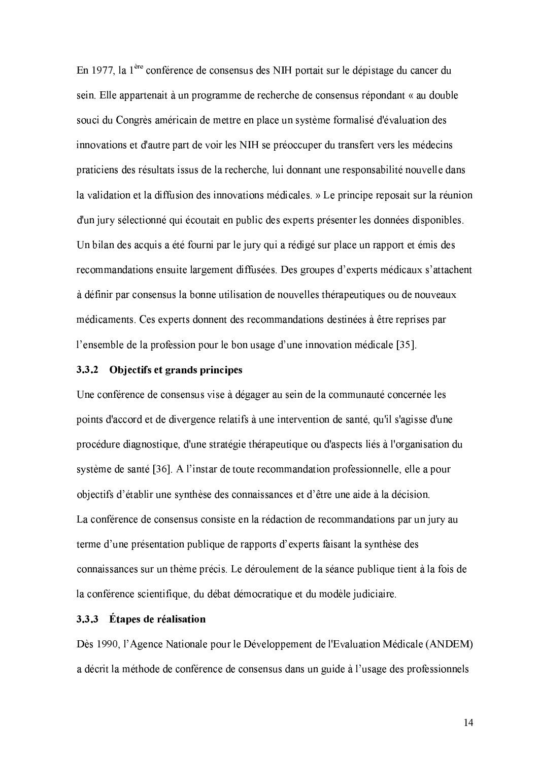}y ¡\_heq-dgXy¨,[bZ{\Wy3dg\I\IdgXy{\Wy:Y"\:¤ X/ZOv\*qbcv:YZh¦\I[bcO;v\*qb\IYLdgqbyd]\bZY sein. Elle appartenait à un programme de recherche de consensus répondant « au double souci du Congrès américain de mettre en place un système formalisé d'évaluation des innovations et d'autre part de voir les NIH se préoccuper du transfert vers les médecins praticiens des résultats issus de la recherche, lui donnant une responsabilité nouvelle dans la validation et la diffusion des innovations médicales. » Le principe reposait sur la réunion d'un jury sélectionné qui écoutait en public des experts présenter les données disponibles. Un bilan des acquis a été fourni par le jury qui a rédigé sur place un rapport et émis des recommandations ensuite largement diffusées. Des groupes d'experts médicaux s'attachent à définir par consensus la bonne utilisation de nouvelles thérapeutiques ou de nouveaux médicaments. Ces experts donnent des recommandations destinées à être reprises par  $\blacksquare$  is a straignment in the  $\blacksquare$ 

#### 3.3.2 O biectifs et grands principes

Une conférence de consensus vise à dégager au sein de la communauté concernée les points d'accord et de divergence relatifs à une intervention de santé, qu'il s'agisse d'une procédure diagnostique, d'une stratégie thérapeutique ou d'aspects liés à l'organisation du  $\cdots$  is the finite the contract of  $\cdots$  and  $\cdots$  and  $\cdots$ objectifs d'établir une synthèse des connaissances et d'être une aide à la décision. La conférence de consensus consiste en la rédaction de recommandations par un jury au terme d'une présentation publique de rapports d'experts faisant la synthèse des connaissances sur un thème précis. Le déroulement de la séance publique tient à la fois de la conférence scientifique, du débat démocratique et du modèle judiciaire.

### 3.3.3 Étapes de réalisation

Dès 1990, l'Agence Nationale pour le Développement de l'Evaluation Médicale (ANDEM) a décrit la méthode de conférence de consensus dans un guide à l'usage des professionnels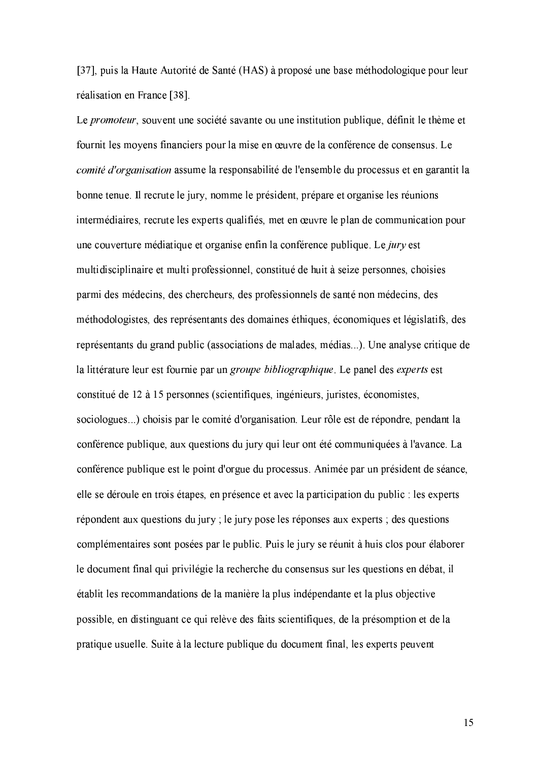[37], puis la Haute Autorité de Santé (HAS) à proposé une base méthodologique pour leur réalisation en France [38].

Le promoteur, souvent une société savante ou une institution publique, définit le thème et fournit les moyens financiers pour la mise en œuvre de la conférence de consensus. Le comité d'organisation assume la responsabilité de l'ensemble du processus et en garantit la bonne tenue. Il recrute le jury, nomme le président, prépare et organise les réunions intermédiaires, recrute les experts qualifiés, met en œuvre le plan de communication pour une couverture médiatique et organise enfin la conférence publique. Le jury est multidisciplinaire et multi professionnel, constitué de huit à seize personnes, choisies parmi des médecins, des chercheurs, des professionnels de santé non médecins, des méthodologistes, des représentants des domaines éthiques, économiques et législatifs, des représentants du grand public (associations de malades, médias...). Une analyse critique de la littérature leur est fournie par un groupe bibliographique. Le panel des experts est constitué de 12 à 15 personnes (scientifiques, ingénieurs, juristes, économistes, sociologues...) choisis par le comité d'organisation. Leur rôle est de répondre, pendant la conférence publique, aux questions du jury qui leur ont été communiquées à l'avance. La conférence publique est le point d'orgue du processus. Animée par un président de séance, elle se déroule en trois étapes, en présence et avec la participation du public : les experts répondent aux questions du jury ; le jury pose les réponses aux experts ; des questions complémentaires sont posées par le public. Puis le jury se réunit à huis clos pour élaborer le document final qui privilégie la recherche du consensus sur les questions en débat, il établit les recommandations de la manière la plus indépendante et la plus objective possible, en distinguant ce qui relève des faits scientifiques, de la présomption et de la pratique usuelle. Suite à la lecture publique du document final, les experts peuvent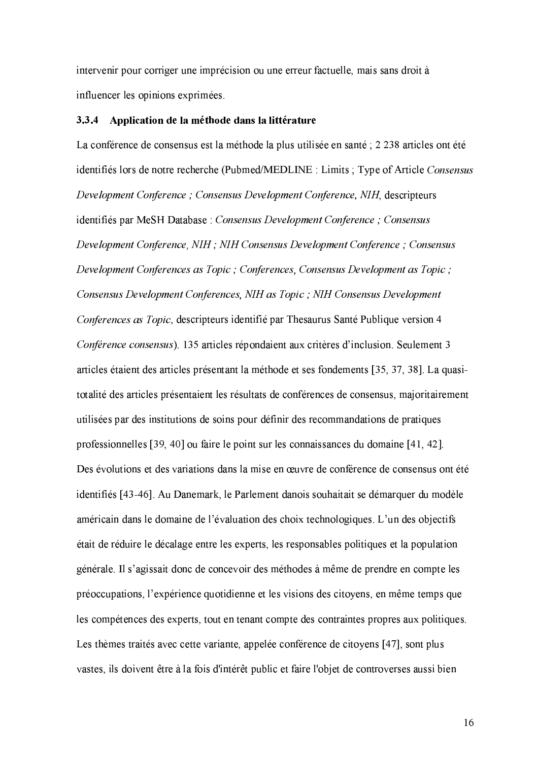intervenir pour corriger une imprécision ou une erreur factuelle, mais sans droit à influencer les opinions exprimées.

#### 3.3.4 Application de la méthode dans la littérature

La conférence de consensus est la méthode la plus utilisée en santé ; 2 238 articles ont été identifiés lors de notre recherche (Pubmed/MEDLINE : Limits ; Type of Article Consensus Development Conference; Consensus Development Conference, NIH, descripteurs identifiés par MeSH Database : Consensus Development Conference ; Consensus Development Conference, NIH; NIH Consensus Development Conference; Consensus Development Conferences as Topic; Conferences, Consensus Development as Topic; Consensus Development Conferences, NIH as Topic; NIH Consensus Development Conferences as Topic, descripteurs identifié par Thesaurus Santé Publique version 4 Conférence consensus). 135 articles répondaient aux critères d'inclusion. Seulement 3 articles étaient des articles présentant la méthode et ses fondements [35, 37, 38]. La quasitotalité des articles présentaient les résultats de conférences de consensus, majoritairement utilisées par des institutions de soins pour définir des recommandations de pratiques professionnelles [39, 40] ou faire le point sur les connaissances du domaine [41, 42]. Des évolutions et des variations dans la mise en œuvre de conférence de consensus ont été identifiés [43-46]. Au Danemark, le Parlement danois souhaitait se démarquer du modèle américain dans le domaine de l'évaluation des choix technologiques. L'un des objectifs était de réduire le décalage entre les experts, les responsables politiques et la population générale. Il s'agissait donc de concevoir des méthodes à même de prendre en compte les préoccupations, l'expérience quotidienne et les visions des citoyens, en même temps que les compétences des experts, tout en tenant compte des contraintes propres aux politiques. Les thèmes traités avec cette variante, appelée conférence de citoyens [47], sont plus vastes, ils doivent être à la fois d'intérêt public et faire l'objet de controverses aussi bien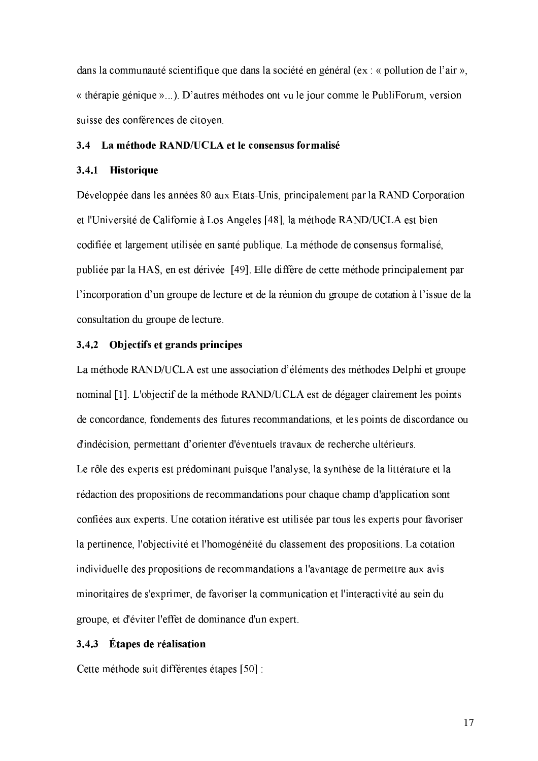dans la communauté scientifique que dans la société en général (ex : « pollution de l'air », « thérapie génique »...). D'autres méthodes ont vu le jour comme le PubliForum, version suisse des conférences de citoyen.

#### 3.4 La méthode RAND/UCLA et le consensus formalisé

### 3.4.1 Historique

Développée dans les années 80 aux Etats-Unis, principalement par la RAND Corporation et l'Université de Californie à Los Angeles [48], la méthode RAND/UCLA est bien codifiée et largement utilisée en santé publique. La méthode de consensus formalisé, publiée par la HAS, en est dérivée [49]. Elle diffère de cette méthode principalement par l'incorporation d'un groupe de lecture et de la réunion du groupe de cotation à l'issue de la consultation du groupe de lecture.

### 3.4.2 Objectifs et grands principes

La méthode RAND/UCLA est une association d'éléments des méthodes Delphi et groupe nominal [1]. L'objectif de la méthode RAND/UCLA est de dégager clairement les points de concordance, fondements des futures recommandations, et les points de discordance ou d'indécision, permettant d'orienter d'éventuels travaux de recherche ultérieurs.

Le rôle des experts est prédominant puisque l'analyse, la synthèse de la littérature et la rédaction des propositions de recommandations pour chaque champ d'application sont confiées aux experts. Une cotation itérative est utilisée par tous les experts pour favoriser la pertinence, l'objectivité et l'homogénéité du classement des propositions. La cotation individuelle des propositions de recommandations a l'avantage de permettre aux avis minoritaires de s'exprimer, de favoriser la communication et l'interactivité au sein du groupe, et d'éviter l'effet de dominance d'un expert.

### 3.4.3 Étapes de réalisation

Cette méthode suit différentes étapes [50] :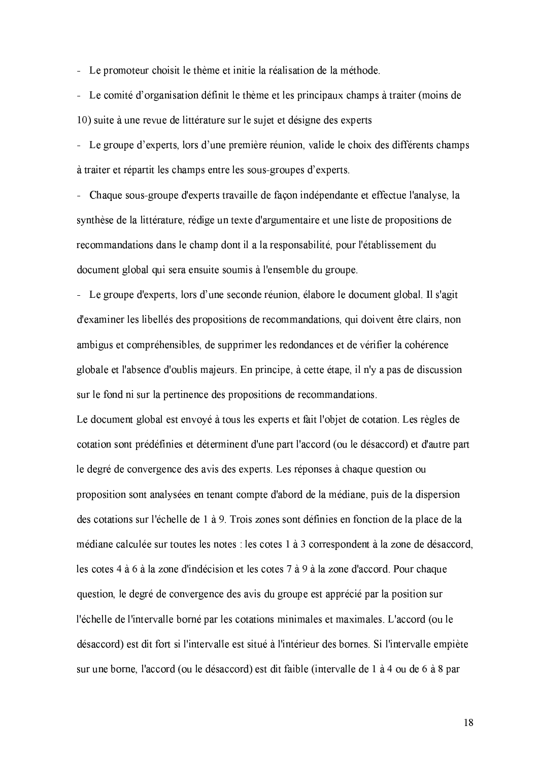- Le promoteur choisit le thème et initie la réalisation de la méthode.

- Le comité d'organisation définit le thème et les principaux champs à traiter (moins de 10) suite à une revue de littérature sur le sujet et désigne des experts

- Le groupe d'experts, lors d'une première réunion, valide le choix des différents champs à traiter et répartit les champs entre les sous-groupes d'experts.

- Chaque sous-groupe d'experts travaille de facon indépendante et effectue l'analyse, la synthèse de la littérature, rédige un texte d'argumentaire et une liste de propositions de recommandations dans le champ dont il a la responsabilité, pour l'établissement du document global qui sera ensuite soumis à l'ensemble du groupe.

- Le groupe d'experts, lors d'une seconde réunion, élabore le document global. Il s'agit d'examiner les libellés des propositions de recommandations, qui doivent être clairs, non ambigus et compréhensibles, de supprimer les redondances et de vérifier la cohérence globale et l'absence d'oublis majeurs. En principe, à cette étape, il n'y a pas de discussion sur le fond ni sur la pertinence des propositions de recommandations.

Le document global est envoyé à tous les experts et fait l'objet de cotation. Les règles de cotation sont prédéfinies et déterminent d'une part l'accord (ou le désaccord) et d'autre part le degré de convergence des avis des experts. Les réponses à chaque question ou proposition sont analysées en tenant compte d'abord de la médiane, puis de la dispersion des cotations sur l'échelle de 1 à 9. Trois zones sont définies en fonction de la place de la médiane calculée sur toutes les notes : les cotes 1 à 3 correspondent à la zone de désaccord, les cotes 4 à 6 à la zone d'indécision et les cotes 7 à 9 à la zone d'accord. Pour chaque question, le degré de convergence des avis du groupe est apprécié par la position sur l'échelle de l'intervalle borné par les cotations minimales et maximales. L'accord (ou le désaccord) est dit fort si l'intervalle est situé à l'intérieur des bornes. Si l'intervalle empiète sur une borne, l'accord (ou le désaccord) est dit faible (intervalle de 1 à 4 ou de 6 à 8 par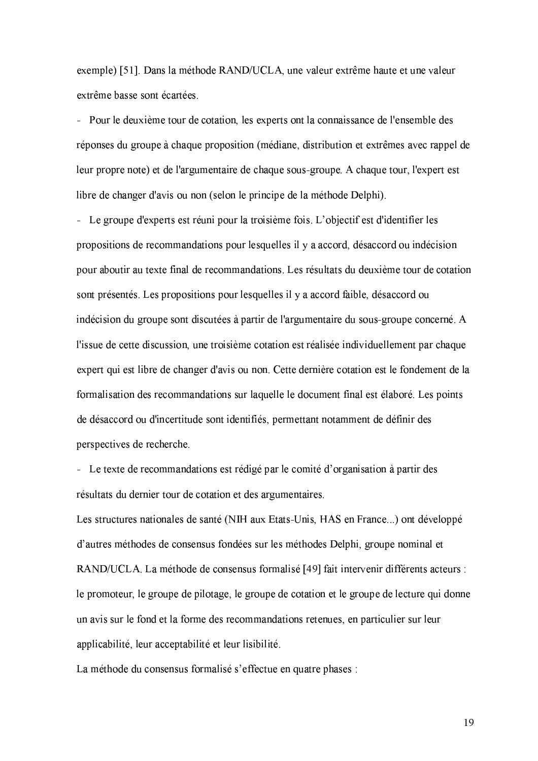exemple) [51]. Dans la méthode RAND/UCLA, une valeur extrême haute et une valeur extrême basse sont écartées.

- Pour le deuxième tour de cotation, les experts ont la connaissance de l'ensemble des réponses du groupe à chaque proposition (médiane, distribution et extrêmes avec rappel de leur propre note) et de l'argumentaire de chaque sous-groupe. A chaque tour, l'expert est libre de changer d'avis ou non (selon le principe de la méthode Delphi).

- Le groupe d'experts est réuni pour la troisième fois. L'objectif est d'identifier les propositions de recommandations pour lesquelles il y a accord, désaccord ou indécision pour aboutir au texte final de recommandations. Les résultats du deuxième tour de cotation sont présentés. Les propositions pour lesquelles il y a accord faible, désaccord ou indécision du groupe sont discutées à partir de l'argumentaire du sous-groupe concerné. A l'issue de cette discussion, une troisième cotation est réalisée individuellement par chaque expert qui est libre de changer d'avis ou non. Cette dernière cotation est le fondement de la formalisation des recommandations sur laquelle le document final est élaboré. Les points de désaccord ou d'incertitude sont identifiés, permettant notamment de définir des perspectives de recherche.

- Le texte de recommandations est rédigé par le comité d'organisation à partir des résultats du dernier tour de cotation et des argumentaires.

Les structures nationales de santé (NIH aux Etats-Unis, HAS en France...) ont développé d'autres méthodes de consensus fondées sur les méthodes Delphi, groupe nominal et RAND/UCLA. La méthode de consensus formalisé [49] fait intervenir différents acteurs : le promoteur, le groupe de pilotage, le groupe de cotation et le groupe de lecture qui donne un avis sur le fond et la forme des recommandations retenues, en particulier sur leur applicabilité, leur acceptabilité et leur lisibilité.

La méthode du consensus formalisé s'effectue en quatre phases :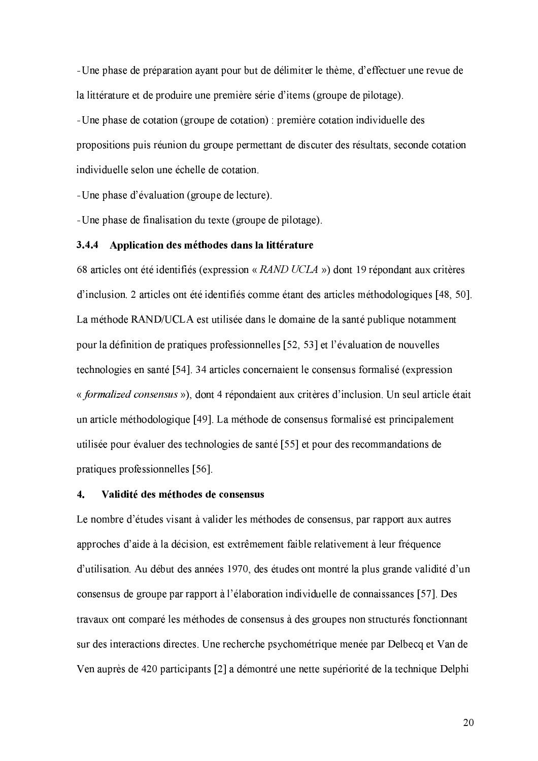- Une phase de préparation ayant pour but de délimiter le thème, d'effectuer une revue de la littérature et de produire une première série d'items (groupe de pilotage).

- Une phase de cotation (groupe de cotation) : première cotation individuelle des propositions puis réunion du groupe permettant de discuter des résultats, seconde cotation individuelle selon une échelle de cotation.

 $-$ Une phase d'évaluation (groupe de lecture).

- Une phase de finalisation du texte (groupe de pilotage).

#### 3.4.4 Application des méthodes dans la littérature

 $\epsilon$  ,  $\epsilon$  ,  $\epsilon$  ,  $\epsilon$  ,  $\epsilon$  ,  $\epsilon$  ,  $\epsilon$  ,  $\epsilon$  ,  $\epsilon$  ,  $\epsilon$  ,  $\epsilon$  ,  $\epsilon$  ,  $\epsilon$  ,  $\epsilon$  ,  $\epsilon$  ,  $\epsilon$  ,  $\epsilon$  ,  $\epsilon$  ,  $\epsilon$  ,  $\epsilon$  ,  $\epsilon$  ,  $\epsilon$  ,  $\epsilon$  ,  $\epsilon$  ,  $\epsilon$  ,  $\epsilon$  ,  $\epsilon$  ,  $\epsilon$  ,  $\epsilon$  ,  $\epsilon$  ,  $\epsilon$  ,  $\epsilon$ d'inclusion. 2 articles ont été identifiés comme étant des articles méthodologiques [48, 50]. La méthode RAND/UCLA est utilisée dans le domaine de la santé publique notamment pour la définition de pratiques professionnelles [52, 53] et l'évaluation de nouvelles  $\blacksquare$  in the  $\blacksquare$  and  $\blacksquare$  is the  $\blacksquare$  $\delta$  if  $\delta$  and  $\delta$  and  $\delta$ YyqbZ:v;cedgh\±r~[wv;f3XXheXc¦Y\ ¡T lqr[wv;fX\I\IdXy9\gy;Y5¨;XZ,rqghjcO9[I\;v5Z\*cªy3dgcªqgh\gr~\Wyv  $Y$  y i i i i i i  $Y$ pratiques professionnelles  $[56]$ .

#### - -Validité des méthodes de consensus

Le nombre d'études visant à valider les méthodes de consensus, par rapport aux autres approches d'aide à la décision, est extrêmement faible relativement à leur fréquence d'utilisation. Au début des années 1970, des études ont montré la plus grande validité d'un consensus de groupe par rapport à l'élaboration individuelle de connaissances [57]. Des travaux ont comparé les méthodes de consensus à des groupes non structurés fonctionnant sur des interactions directes. Une recherche psychométrique menée par Delbecq et Van de Ven auprès de 420 participants [2] a démontré une nette supériorité de la technique Delphi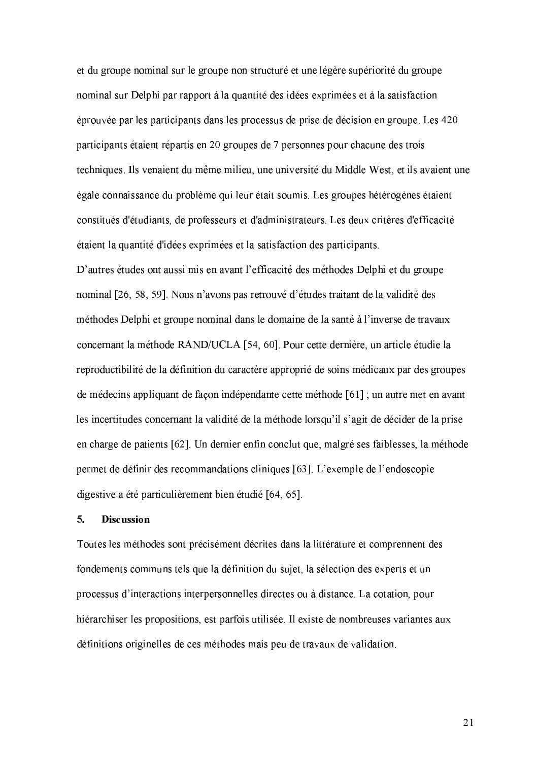et du groupe nominal sur le groupe non structuré et une légère supériorité du groupe nominal sur Delphi par rapport à la quantité des idées exprimées et à la satisfaction éprouvée par les participants dans les processus de prise de décision en groupe. Les 420 participants étaient répartis en 20 groupes de 7 personnes pour chacune des trois techniques. Ils venaient du même milieu, une université du Middle West, et ils avaient une égale connaissance du problème qui leur était soumis. Les groupes hétérogènes étaient constitués d'étudiants, de professeurs et d'administrateurs. Les deux critères d'efficacité étaient la quantité d'idées exprimées et la satisfaction des participants.

D'autres études ont aussi mis en avant l'efficacité des méthodes Delphi et du groupe nominal [26, 58, 59]. Nous n'avons pas retrouvé d'études traitant de la validité des méthodes Delphi et groupe nominal dans le domaine de la santé à l'inverse de travaux concernant la méthode RAND/UCLA [54, 60]. Pour cette dernière, un article étudie la reproductibilité de la définition du caractère approprié de soins médicaux par des groupes de médecins appliquant de façon indépendante cette méthode [61]; un autre met en avant les incertitudes concernant la validité de la méthode lorsqu'il s'agit de décider de la prise en charge de patients [62]. Un dernier enfin conclut que, malgré ses faiblesses, la méthode permet de définir des recommandations cliniques [63]. L'exemple de l'endoscopie digestive a été particulièrement bien étudié [64, 65].

#### 5. **Discussion**

Toutes les méthodes sont précisément décrites dans la littérature et comprennent des fondements communs tels que la définition du sujet, la sélection des experts et un processus d'interactions interpersonnelles directes ou à distance. La cotation, pour hiérarchiser les propositions, est parfois utilisée. Il existe de nombreuses variantes aux définitions originelles de ces méthodes mais peu de travaux de validation.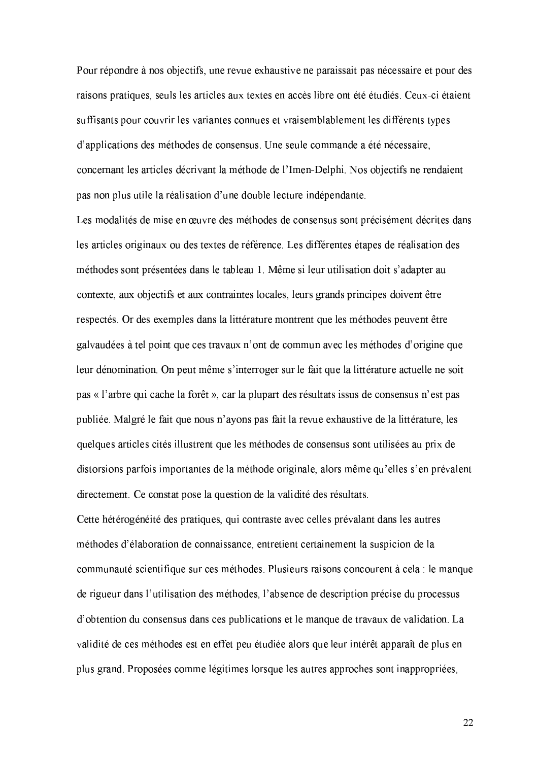Pour répondre à nos objectifs, une revue exhaustive ne paraissait pas nécessaire et pour des raisons pratiques, seuls les articles aux textes en accès libre ont été étudiés. Ceux-ci étaient suffisants pour couvrir les variantes connues et vraisemblablement les différents types d'applications des méthodes de consensus. Une seule commande a été nécessaire, concernant les articles décrivant la méthode de l'Imen-Delphi. Nos objectifs ne rendaient pas non plus utile la réalisation d'une double lecture indépendante.

Les modalités de mise en œuvre des méthodes de consensus sont précisément décrites dans les articles originaux ou des textes de référence. Les différentes étapes de réalisation des méthodes sont présentées dans le tableau 1. Même si leur utilisation doit s'adapter au contexte, aux objectifs et aux contraintes locales, leurs grands principes doivent être respectés. Or des exemples dans la littérature montrent que les méthodes peuvent être galvaudées à tel point que ces travaux n'ont de commun avec les méthodes d'origine que leur dénomination. On peut même s'interroger sur le fait que la littérature actuelle ne soit pas « l'arbre qui cache la forêt », car la plupart des résultats issus de consensus n'est pas publiée. Malgré le fait que nous n'ayons pas fait la revue exhaustive de la littérature, les quelques articles cités illustrent que les méthodes de consensus sont utilisées au prix de distorsions parfois importantes de la méthode originale, alors même qu'elles s'en prévalent directement. Ce constat pose la question de la validité des résultats.

Cette hétérogénéité des pratiques, qui contraste avec celles prévalant dans les autres méthodes d'élaboration de connaissance, entretient certainement la suspicion de la communauté scientifique sur ces méthodes. Plusieurs raisons concourent à cela : le manque de rigueur dans l'utilisation des méthodes, l'absence de description précise du processus d'obtention du consensus dans ces publications et le manque de travaux de validation. La validité de ces méthodes est en effet peu étudiée alors que leur intérêt apparaît de plus en plus grand. Proposées comme légitimes lorsque les autres approches sont inappropriées,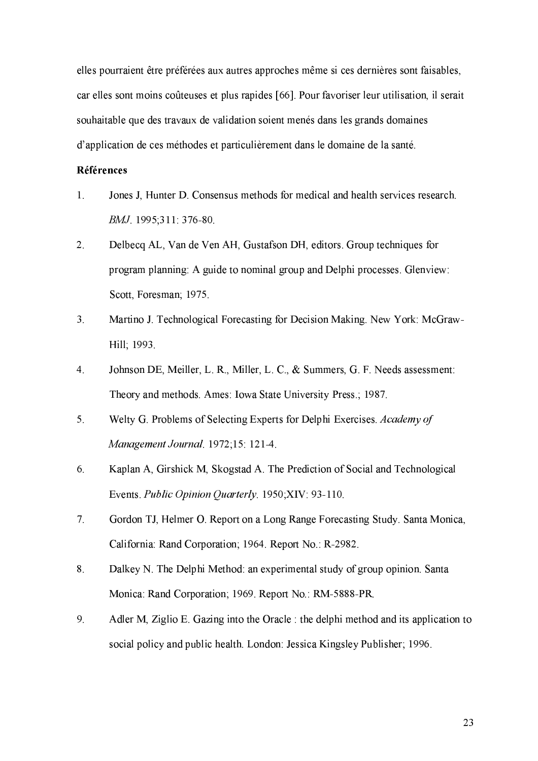elles pourraient être préférées aux autres approches même si ces dernières sont faisables, car elles sont moins coûteuses et plus rapides [66]. Pour favoriser leur utilisation, il serait souhaitable que des travaux de validation soient menés dans les grands domaines d'application de ces méthodes et particulièrement dans le domaine de la santé.

#### **Références**

- $1<sup>1</sup>$ Jones J. Hunter D. Consensus methods for medical and health services research. BMJ 1995;311: 376-80.
- $2.$ Delbecq AL, Van de Ven AH, Gustafson DH, editors. Group techniques for program planning: A guide to nominal group and Delphi processes. Glenview: Scott, Foresman; 1975.
- $3<sub>1</sub>$ Martino J. Technological Forecasting for Decision Making. New York: McGraw-Hill: 1993.
- $\overline{4}$ . Johnson DE, Meiller, L. R., Miller, L. C., & Summers, G. F. Needs assessment: Theory and methods. Ames: Iowa State University Press.; 1987.
- 5. Welty G. Problems of Selecting Experts for Delphi Exercises. Academy of Management Journal, 1972;15: 121-4.
- 6. Kaplan A, Girshick M, Skogstad A. The Prediction of Social and Technological Events. Public Opinion Quarterly. 1950;XIV: 93-110.
- $7<sub>1</sub>$ Gordon TJ, Helmer O. Report on a Long Range Forecasting Study. Santa Monica, California: Rand Corporation; 1964. Report No.: R-2982.
- Dalkey N. The Delphi Method: an experimental study of group opinion. Santa 8. Monica: Rand Corporation; 1969. Report No.: RM-5888-PR.
- 9. Adler M, Ziglio E. Gazing into the Oracle : the delphi method and its application to social policy and public health. London: Jessica Kingsley Publisher; 1996.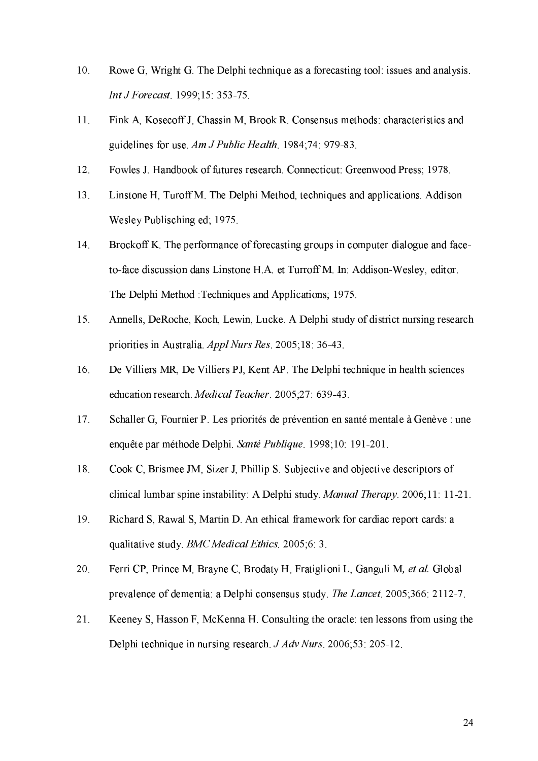- 10. Rowe G, Wright G. The Delphi technique as a forecasting tool: issues and analysis. Int J Forecast. 1999;15: 353-75.
- Fink A, Kosecoff J, Chassin M, Brook R. Consensus methods: characteristics and 11. guidelines for use Am J Public Health. 1984;74: 979-83.
- 12. Fowles J. Handbook of futures research. Connecticut: Greenwood Press; 1978.
- Linstone H, Turoff M, The Delphi Method, techniques and applications. Addison  $13<sub>1</sub>$ Wesley Publisching ed; 1975.
- 14. Brockoff K. The performance of forecasting groups in computer dialogue and faceto-face discussion dans Linstone H.A. et Turroff M. In: Addison-Wesley, editor. The Delphi Method : Techniques and Applications; 1975.
- 15. Annells, DeRoche, Koch, Lewin, Lucke. A Delphi study of district nursing research priorities in Australia. Appl Nurs Res. 2005;18: 36-43.
- 16. De Villiers MR, De Villiers PJ, Kent AP. The Delphi technique in health sciences education research. Medical Teacher. 2005;27: 639-43.
- $17.$ Schaller G, Fournier P. Les priorités de prévention en santé mentale à Genève : une enquête par méthode Delphi. Santé Publique. 1998;10: 191-201.
- 18. Cook C, Brismee JM, Sizer J, Phillip S. Subjective and objective descriptors of clinical lumbar spine instability: A Delphi study. *Manual Therapy*. 2006;11: 11-21.
- 19. Richard S, Rawal S, Martin D. An ethical framework for cardiac report cards: a qualitative study. BMC Medical Ethics. 2005;6: 3.
- Ferri CP, Prince M, Brayne C, Brodaty H, Fratiglioni L, Ganguli M, et al. Global 20. prevalence of dementia: a Delphi consensus study. The Lancet. 2005;366: 2112-7.
- $21.$ Keeney S, Hasson F, McKenna H. Consulting the oracle: ten lessons from using the Delphi technique in nursing research. J Adv Nurs. 2006;53: 205-12.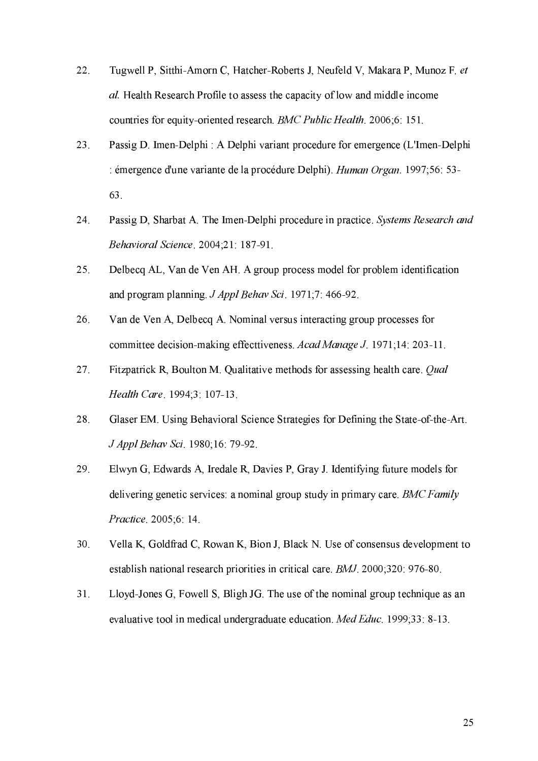- 22. Tugwell P, Sitthi-Amorn C, Hatcher-Roberts J, Neufeld V, Makara P, Munoz F, et al. Health Research Profile to assess the capacity of low and middle income countries for equity-oriented research. BMC Public Health. 2006;6: 151.
- 23. Passig D. Imen-Delphi : A Delphi variant procedure for emergence (L'Imen-Delphi émergence d'une variante de la procédure Delphi). Human Organ. 1997;56: 53-63.
- 24. Passig D, Sharbat A. The Imen-Delphi procedure in practice. Systems Research and Behavioral Science, 2004;21: 187-91.
- 25. Delbecq AL, Van de Ven AH. A group process model for problem identification and program planning. J Appl Behav Sci. 1971;7: 466-92.
- 26. Van de Ven A, Delbecq A. Nominal versus interacting group processes for committee decision-making effecttiveness. Acad Manage J. 1971;14: 203-11.
- 27. Fitzpatrick R, Boulton M. Qualitative methods for assessing health care. Qual Health Care 1994;3: 107-13
- 28. Glaser EM. Using Behavioral Science Strategies for Defining the State-of-the-Art. J Appl Behav Sci. 1980;16: 79-92.
- 29. Elwyn G, Edwards A, Iredale R, Davies P, Gray J. Identifying future models for delivering genetic services: a nominal group study in primary care. BMC Family Practice 2005;6:14.
- 30. Vella K, Goldfrad C, Rowan K, Bion J, Black N. Use of consensus development to establish national research priorities in critical care. BMJ. 2000;320: 976-80.
- $31.$ Lloyd-Jones G, Fowell S, Bligh JG. The use of the nominal group technique as an evaluative tool in medical undergraduate education. *Med Educ*. 1999;33: 8-13.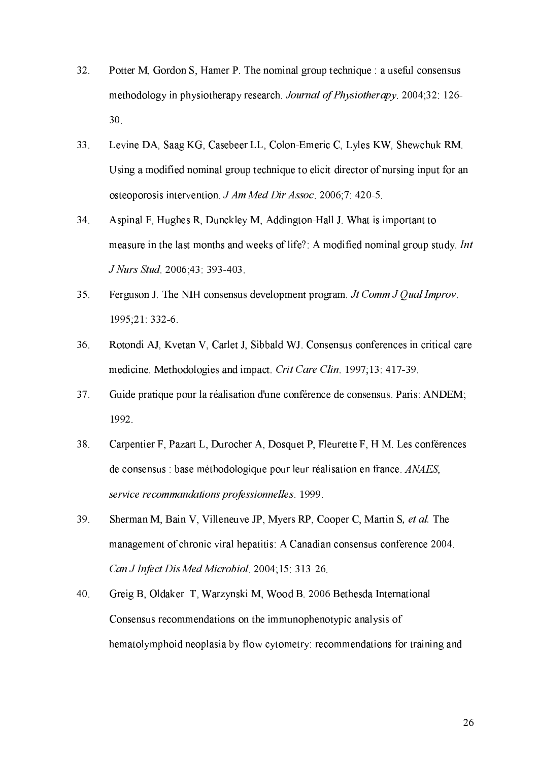- 32. Potter M, Gordon S, Hamer P. The nominal group technique : a useful consensus methodology in physiotherapy research. Journal of Physiotherapy. 2004;32: 126-30.
- 33. Levine DA, Saag KG, Casebeer LL, Colon-Emeric C, Lyles KW, Shewchuk RM. Using a modified nominal group technique to elicit director of nursing input for an osteoporosis intervention, J Am Med Dir Assoc, 2006;7: 420-5.
- 34. Aspinal F, Hughes R, Dunckley M, Addington-Hall J. What is important to measure in the last months and weeks of life?: A modified nominal group study. Int J Nurs Stud. 2006;43: 393-403.
- 35. Ferguson J. The NIH consensus development program. Jt Comm J Qual Improv. 1995;21:332-6.
- 36. Rotondi AJ, Kvetan V, Carlet J, Sibbald WJ. Consensus conferences in critical care medicine. Methodologies and impact. Crit Care Clin. 1997;13: 417-39.
- 37. Guide pratique pour la réalisation d'une conférence de consensus. Paris: ANDEM; 1992.
- 38. Carpentier F. Pazart L. Durocher A. Dosquet P. Fleurette F. H M. Les conférences de consensus : base méthodologique pour leur réalisation en france. ANAES, service recommandations professionnelles. 1999.
- 39. Sherman M, Bain V, Villeneuve JP, Myers RP, Cooper C, Martin S, et al. The management of chronic viral hepatitis: A Canadian consensus conference 2004. Can J Infect Dis Med Microbiol. 2004;15: 313-26.
- 40. Greig B, Oldaker T, Warzynski M, Wood B. 2006 Bethesda International Consensus recommendations on the immunophenotypic analysis of hematolymphoid neoplasia by flow cytometry: recommendations for training and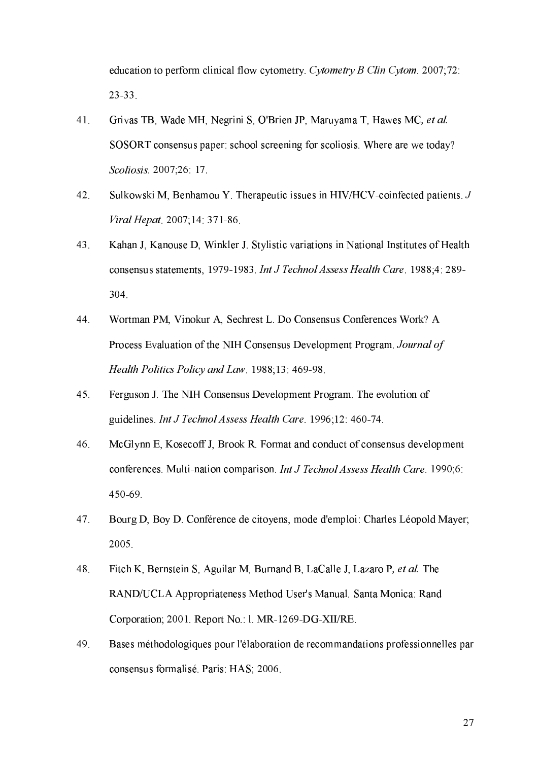education to perform clinical flow cytometry. Cytometry B Clin Cytom. 2007;72:  $23 - 33$ .

- 41. Grivas TB, Wade MH, Negrini S, O'Brien JP, Maruyama T, Hawes MC, et al. SOSORT consensus paper: school screening for scoliosis. Where are we today? Scoliosis 2007;26: 17.
- 42. Sulkowski M, Benhamou Y. Therapeutic issues in HIV/HCV-coinfected patients. J Viral Hepat. 2007;14: 371-86.
- 43. Kahan J, Kanouse D, Winkler J. Stylistic variations in National Institutes of Health consensus statements, 1979-1983. Int J Technol Assess Health Care. 1988;4: 289-304.
- 44. Wortman PM, Vinokur A, Sechrest L. Do Consensus Conferences Work? A Process Evaluation of the NIH Consensus Development Program. Journal of Health Politics Policy and Law. 1988;13: 469-98.
- 45. Ferguson J. The NIH Consensus Development Program. The evolution of guidelines. Int J Technol Assess Health Care. 1996;12: 460-74.
- 46. McGlynn E, Kosecoff J, Brook R. Format and conduct of consensus development conferences. Multi-nation comparison. Int J Technol Assess Health Care. 1990;6: 450-69
- 47. Bourg D, Boy D. Conférence de citoyens, mode d'emploi: Charles Léopold Mayer; 2005.
- 48. Fitch K, Bernstein S, Aguilar M, Burnand B, LaCalle J, Lazaro P, et al. The RAND/UCLA Appropriateness Method User's Manual. Santa Monica: Rand Corporation; 2001. Report No.: 1. MR-1269-DG-XII/RE.
- 49. Bases méthodologiques pour l'élaboration de recommandations professionnelles par consensus formalisé. Paris: HAS; 2006.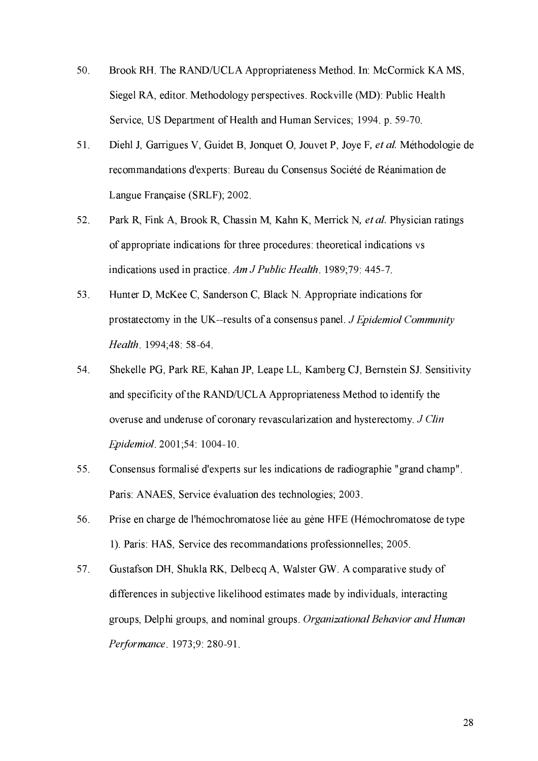- Brook RH. The RAND/UCLA Appropriateness Method. In: McCormick KA MS, 50. Siegel RA, editor. Methodology perspectives. Rockville (MD): Public Health Service, US Department of Health and Human Services; 1994. p. 59-70.
- 51. Diehl J, Garrigues V, Guidet B, Jonquet O, Jouvet P, Joye F, et al. Méthodologie de recommandations d'experts: Bureau du Consensus Société de Réanimation de Langue Française (SRLF); 2002.
- Park R, Fink A, Brook R, Chassin M, Kahn K, Merrick N, et al. Physician ratings 52. of appropriate indications for three procedures: theoretical indications vs indications used in practice. Am J Public Health. 1989;79: 445-7.
- Hunter D, McKee C, Sanderson C, Black N. Appropriate indications for 53. prostatectomy in the UK-results of a consensus panel. *J Epidemiol Community* Health. 1994;48: 58-64.
- 54. Shekelle PG, Park RE, Kahan JP, Leape LL, Kamberg CJ, Bernstein SJ. Sensitivity and specificity of the RAND/UCLA Appropriateness Method to identify the overuse and underuse of coronary revascularization and hysterectomy. J Clin Epidemiol. 2001;54: 1004-10.
- 55. Consensus formalisé d'experts sur les indications de radiographie "grand champ". Paris: ANAES, Service évaluation des technologies; 2003.
- 56. Prise en charge de l'hémochromatose liée au gène HFE (Hémochromatose de type 1). Paris: HAS, Service des recommandations professionnelles; 2005.
- Gustafson DH, Shukla RK, Delbecq A, Walster GW. A comparative study of 57. differences in subjective likelihood estimates made by individuals, interacting groups, Delphi groups, and nominal groups. Organizational Behavior and Human Performance 1973;9: 280-91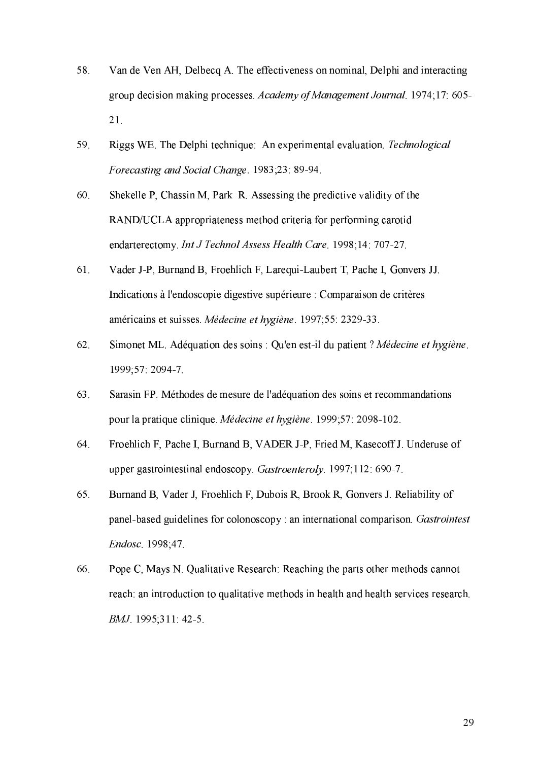- 58. Van de Ven AH, Delbecq A. The effectiveness on nominal, Delphi and interacting group decision making processes. Academy of Management Journal. 1974;17: 605-21.
- Riggs WE. The Delphi technique: An experimental evaluation. Technological 59. Forecasting and Social Change, 1983;23: 89-94.
- 60. Shekelle P, Chassin M, Park R. Assessing the predictive validity of the RAND/UCLA appropriateness method criteria for performing carotid endarterectomy. Int J Technol Assess Health Care. 1998;14: 707-27.
- 61. Vader J-P, Burnand B, Froehlich F, Larequi-Laubert T, Pache I, Gonvers JJ. Indications à l'endoscopie digestive supérieure : Comparaison de critères américains et suisses. Médecine et hygiène. 1997;55: 2329-33.
- 62. Simonet ML. Adéquation des soins : Qu'en est-il du patient ? Médecine et hygiène. 1999;57: 2094-7.
- 63. Sarasin FP. Méthodes de mesure de l'adéquation des soins et recommandations pour la pratique clinique. Médecine et hygiène. 1999;57: 2098-102.
- 64. Froehlich F, Pache I, Burnand B, VADER J-P, Fried M, Kasecoff J. Underuse of upper gastrointestinal endoscopy. Gastroenteroly. 1997;112: 690-7.
- 65. Burnand B, Vader J, Froehlich F, Dubois R, Brook R, Gonvers J. Reliability of panel-based guidelines for colonoscopy : an international comparison. Gastrointest Endosc. 1998;47.
- Pope C, Mays N. Qualitative Research: Reaching the parts other methods cannot 66. reach: an introduction to qualitative methods in health and health services research. BMJ 1995;311: 42-5.